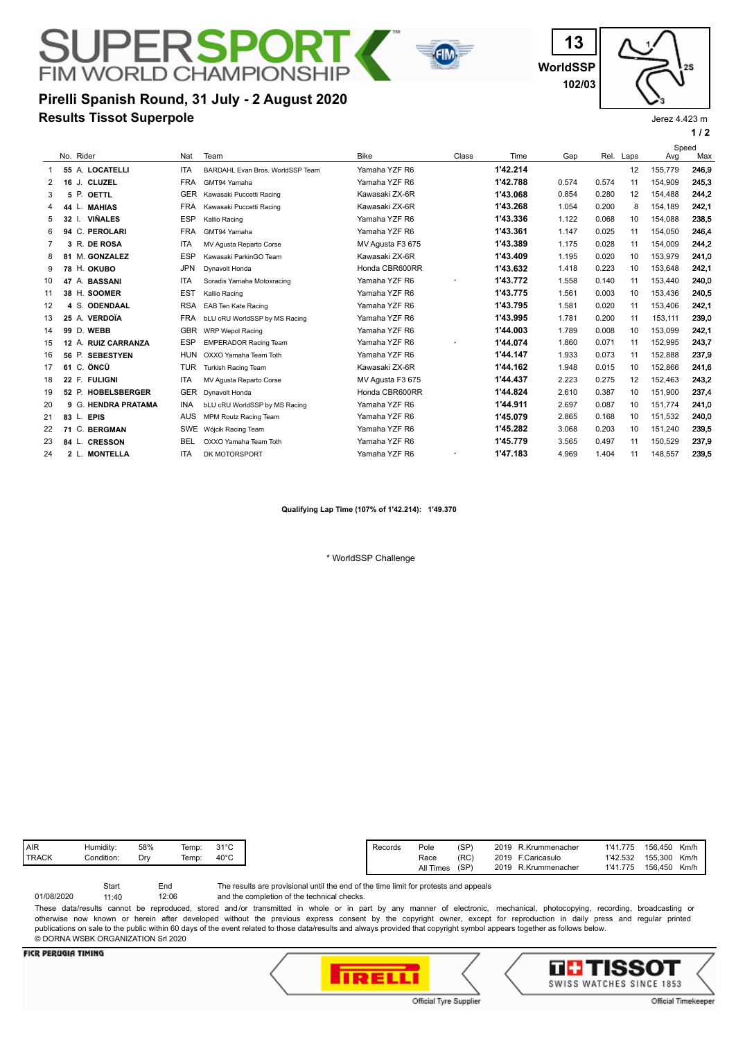# **Results Tissot Superpole Pirelli Spanish Round, 31 July - 2 August 2020**

**FIM WORLD CHAMPIONSHIP** 

**WorldSSP 13 102/03**



Jerez 4.423 m

**1 / 2**

|                |    |                             |            |                                  |                  |       |          |       |       |      | Speed   |       |
|----------------|----|-----------------------------|------------|----------------------------------|------------------|-------|----------|-------|-------|------|---------|-------|
|                |    | No. Rider                   | Nat        | Team                             | <b>Bike</b>      | Class | Time     | Gap   | Rel.  | Laps | Avg     | Max   |
| 1              |    | 55 A. LOCATELLI             | <b>ITA</b> | BARDAHL Evan Bros. WorldSSP Team | Yamaha YZF R6    |       | 1'42.214 |       |       | 12   | 155,779 | 246.9 |
| 2              |    | <b>CLUZEL</b><br>16J.       | <b>FRA</b> | GMT94 Yamaha                     | Yamaha YZF R6    |       | 1'42.788 | 0.574 | 0.574 | 11   | 154,909 | 245.3 |
| 3              | 5  | P. OETTL                    | <b>GER</b> | Kawasaki Puccetti Racing         | Kawasaki ZX-6R   |       | 1'43.068 | 0.854 | 0.280 | 12   | 154.488 | 244,2 |
| 4              | 44 | <b>MAHIAS</b>               | <b>FRA</b> | Kawasaki Puccetti Racing         | Kawasaki ZX-6R   |       | 1'43.268 | 1.054 | 0.200 | 8    | 154.189 | 242,1 |
| 5              |    | <b>VIÑALES</b><br>32 I.     | <b>ESP</b> | Kallio Racing                    | Yamaha YZF R6    |       | 1'43.336 | 1.122 | 0.068 | 10   | 154.088 | 238.5 |
| 6              |    | 94 C.<br><b>PEROLARI</b>    | <b>FRA</b> | GMT94 Yamaha                     | Yamaha YZF R6    |       | 1'43.361 | 1.147 | 0.025 | 11   | 154,050 | 246,4 |
| $\overline{7}$ |    | 3 R. DE ROSA                | <b>ITA</b> | MV Agusta Reparto Corse          | MV Agusta F3 675 |       | 1'43.389 | 1.175 | 0.028 | 11   | 154.009 | 244,2 |
| 8              |    | 81 M. GONZALEZ              | <b>ESP</b> | Kawasaki ParkinGO Team           | Kawasaki ZX-6R   |       | 1'43.409 | 1.195 | 0.020 | 10   | 153,979 | 241,0 |
| 9              |    | 78 H. OKUBO                 | <b>JPN</b> | Dynavolt Honda                   | Honda CBR600RR   |       | 1'43.632 | 1.418 | 0.223 | 10   | 153.648 | 242,1 |
| 10             |    | 47 A. BASSANI               | <b>ITA</b> | Soradis Yamaha Motoxracing       | Yamaha YZF R6    |       | 1'43.772 | 1.558 | 0.140 | 11   | 153,440 | 240,0 |
| 11             |    | 38 H. SOOMER                | <b>EST</b> | Kallio Racing                    | Yamaha YZF R6    |       | 1'43.775 | 1.561 | 0.003 | 10   | 153,436 | 240.5 |
| 12             |    | 4 S. ODENDAAL               | <b>RSA</b> | EAB Ten Kate Racing              | Yamaha YZF R6    |       | 1'43.795 | 1.581 | 0.020 | 11   | 153,406 | 242,1 |
| 13             |    | 25 A. VERDOÏA               | <b>FRA</b> | bLU cRU WorldSSP by MS Racing    | Yamaha YZF R6    |       | 1'43.995 | 1.781 | 0.200 | 11   | 153.111 | 239,0 |
| 14             |    | 99 D. WEBB                  | <b>GBR</b> | <b>WRP Wepol Racing</b>          | Yamaha YZF R6    |       | 1'44.003 | 1.789 | 0.008 | 10   | 153.099 | 242.1 |
| 15             |    | 12 A. RUIZ CARRANZA         | <b>ESP</b> | <b>EMPERADOR Racing Team</b>     | Yamaha YZF R6    |       | 1'44.074 | 1.860 | 0.071 | 11   | 152,995 | 243,7 |
| 16             |    | 56 P.<br><b>SEBESTYEN</b>   | <b>HUN</b> | OXXO Yamaha Team Toth            | Yamaha YZF R6    |       | 1'44.147 | 1.933 | 0.073 | 11   | 152.888 | 237,9 |
| 17             |    | 61 C. ÖNCÜ                  | <b>TUR</b> | Turkish Racing Team              | Kawasaki ZX-6R   |       | 1'44.162 | 1.948 | 0.015 | 10   | 152,866 | 241,6 |
| 18             |    | 22 F. FULIGNI               | <b>ITA</b> | MV Agusta Reparto Corse          | MV Agusta F3 675 |       | 1'44.437 | 2.223 | 0.275 | 12   | 152,463 | 243,2 |
| 19             |    | 52 P. HOBELSBERGER          | <b>GER</b> | Dynavolt Honda                   | Honda CBR600RR   |       | 1'44.824 | 2.610 | 0.387 | 10   | 151,900 | 237,4 |
| 20             | 9  | G.<br><b>HENDRA PRATAMA</b> | <b>INA</b> | bLU cRU WorldSSP by MS Racing    | Yamaha YZF R6    |       | 1'44.911 | 2.697 | 0.087 | 10   | 151,774 | 241,0 |
| 21             |    | <b>EPIS</b><br>$83$ L.      | <b>AUS</b> | MPM Routz Racing Team            | Yamaha YZF R6    |       | 1'45.079 | 2.865 | 0.168 | 10   | 151,532 | 240,0 |
| 22             | 71 | C.<br><b>BERGMAN</b>        | <b>SWE</b> | Wójcik Racing Team               | Yamaha YZF R6    |       | 1'45.282 | 3.068 | 0.203 | 10   | 151.240 | 239.5 |
| 23             |    | <b>CRESSON</b><br>84 L.     | <b>BEL</b> | OXXO Yamaha Team Toth            | Yamaha YZF R6    |       | 1'45.779 | 3.565 | 0.497 | 11   | 150.529 | 237.9 |
| 24             |    | <b>MONTELLA</b><br>$2$ L.   | <b>ITA</b> | DK MOTORSPORT                    | Yamaha YZF R6    |       | 1'47.183 | 4.969 | 1.404 | 11   | 148,557 | 239.5 |

**FIN** 

**Qualifying Lap Time (107% of 1'42.214): 1'49.370**

\* WorldSSP Challenge

| (RC)<br>Race      | 2019<br>F.Caricasulo   | 1'42.532 | (SP)<br>2019<br>R.Krummenacher<br>156,450<br>1'41.775<br>Km/h<br>Pole<br>Records<br>155.300<br>Km/h |
|-------------------|------------------------|----------|-----------------------------------------------------------------------------------------------------|
| (SP)<br>All Times | 2019<br>R.Krummenacher | 1'41.775 | 156.450<br>Km/h                                                                                     |
|                   |                        |          |                                                                                                     |

and the completion of the technical checks. The results are provisional until the end of the time limit for protests and appeals 12:06 Start End 01/08/2020 11:40 These data/results cannot be reproduced, stored and/or transmitted in whole or in part by any manner of electronic, mechanical, photocopying, recording, broadcasting or

otherwise now known or herein after developed without the previous express consent by the copyright owner, except for reproduction in daily press and regular printed publications on sale to the public within 60 days of the event related to those data/results and always provided that copyright symbol appears together as follows below. © DORNA WSBK ORGANIZATION Srl 2020

## **FICR PERUGIA TIMING**